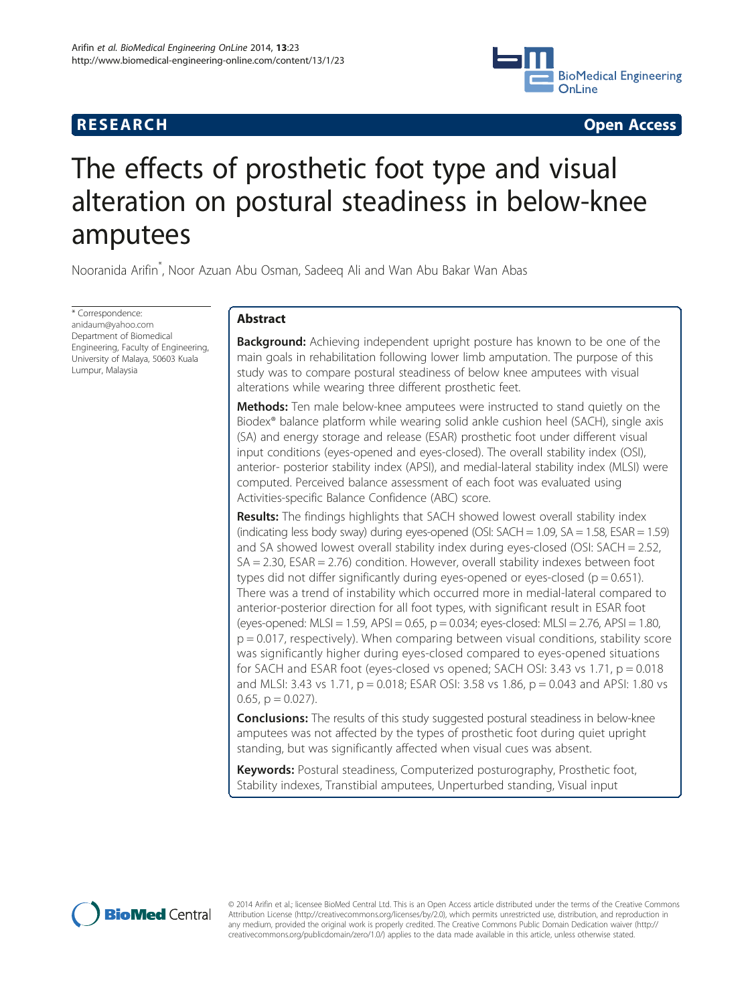# **RESEARCH CHE Open Access**



# The effects of prosthetic foot type and visual alteration on postural steadiness in below-knee amputees

Nooranida Arifin<sup>\*</sup>, Noor Azuan Abu Osman, Sadeeq Ali and Wan Abu Bakar Wan Abas

\* Correspondence: [anidaum@yahoo.com](mailto:anidaum@yahoo.com) Department of Biomedical Engineering, Faculty of Engineering, University of Malaya, 50603 Kuala Lumpur, Malaysia

# Abstract

**Background:** Achieving independent upright posture has known to be one of the main goals in rehabilitation following lower limb amputation. The purpose of this study was to compare postural steadiness of below knee amputees with visual alterations while wearing three different prosthetic feet.

Methods: Ten male below-knee amputees were instructed to stand quietly on the Biodex® balance platform while wearing solid ankle cushion heel (SACH), single axis (SA) and energy storage and release (ESAR) prosthetic foot under different visual input conditions (eyes-opened and eyes-closed). The overall stability index (OSI), anterior- posterior stability index (APSI), and medial-lateral stability index (MLSI) were computed. Perceived balance assessment of each foot was evaluated using Activities-specific Balance Confidence (ABC) score.

Results: The findings highlights that SACH showed lowest overall stability index (indicating less body sway) during eyes-opened (OSI:  $SACH = 1.09$ ,  $SA = 1.58$ ,  $ESAR = 1.59$ ) and SA showed lowest overall stability index during eyes-closed (OSI: SACH = 2.52, SA = 2.30, ESAR = 2.76) condition. However, overall stability indexes between foot types did not differ significantly during eyes-opened or eyes-closed ( $p = 0.651$ ). There was a trend of instability which occurred more in medial-lateral compared to anterior-posterior direction for all foot types, with significant result in ESAR foot (eyes-opened:  $MLSI = 1.59$ ,  $APSI = 0.65$ ,  $p = 0.034$ ; eyes-closed:  $MLSI = 2.76$ ,  $APSI = 1.80$ , p = 0.017, respectively). When comparing between visual conditions, stability score was significantly higher during eyes-closed compared to eyes-opened situations for SACH and ESAR foot (eyes-closed vs opened; SACH OSI: 3.43 vs 1.71,  $p = 0.018$ and MLSI: 3.43 vs 1.71, p = 0.018; ESAR OSI: 3.58 vs 1.86, p = 0.043 and APSI: 1.80 vs 0.65,  $p = 0.027$ ).

**Conclusions:** The results of this study suggested postural steadiness in below-knee amputees was not affected by the types of prosthetic foot during quiet upright standing, but was significantly affected when visual cues was absent.

Keywords: Postural steadiness, Computerized posturography, Prosthetic foot, Stability indexes, Transtibial amputees, Unperturbed standing, Visual input



© 2014 Arifin et al.; licensee BioMed Central Ltd. This is an Open Access article distributed under the terms of the Creative Commons Attribution License (<http://creativecommons.org/licenses/by/2.0>), which permits unrestricted use, distribution, and reproduction in any medium, provided the original work is properly credited. The Creative Commons Public Domain Dedication waiver [\(http://](http://creativecommons.org/publicdomain/zero/1.0/) [creativecommons.org/publicdomain/zero/1.0/\)](http://creativecommons.org/publicdomain/zero/1.0/) applies to the data made available in this article, unless otherwise stated.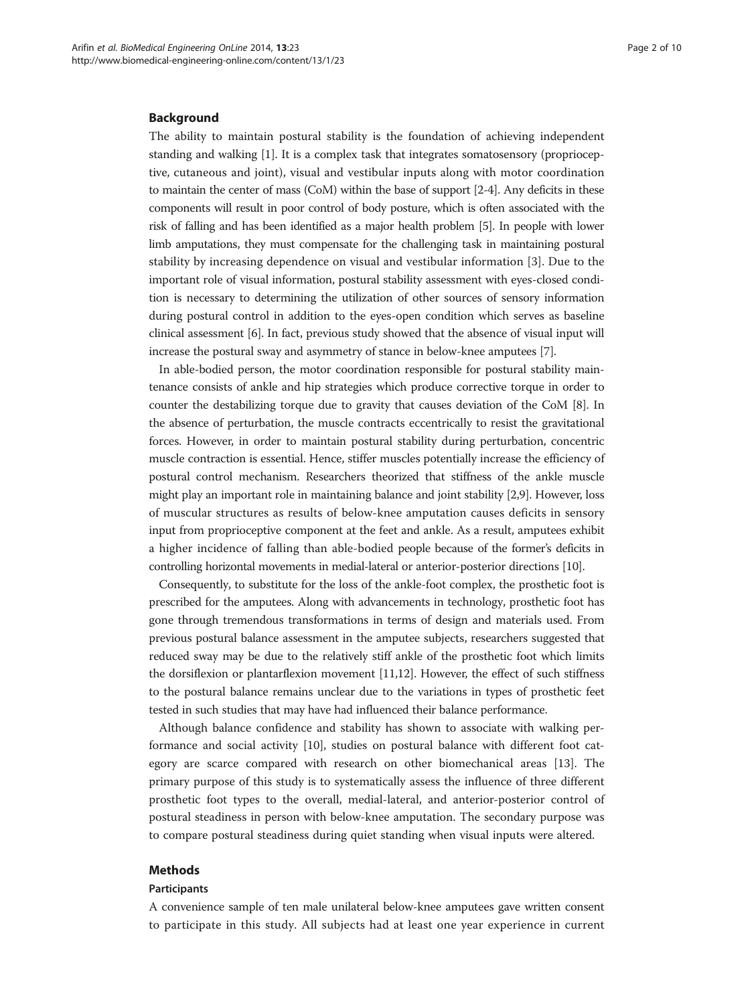#### Background

The ability to maintain postural stability is the foundation of achieving independent standing and walking [\[1](#page-8-0)]. It is a complex task that integrates somatosensory (proprioceptive, cutaneous and joint), visual and vestibular inputs along with motor coordination to maintain the center of mass (CoM) within the base of support [\[2](#page-8-0)-[4](#page-8-0)]. Any deficits in these components will result in poor control of body posture, which is often associated with the risk of falling and has been identified as a major health problem [\[5](#page-8-0)]. In people with lower limb amputations, they must compensate for the challenging task in maintaining postural stability by increasing dependence on visual and vestibular information [[3\]](#page-8-0). Due to the important role of visual information, postural stability assessment with eyes-closed condition is necessary to determining the utilization of other sources of sensory information during postural control in addition to the eyes-open condition which serves as baseline clinical assessment [[6](#page-8-0)]. In fact, previous study showed that the absence of visual input will increase the postural sway and asymmetry of stance in below-knee amputees [[7](#page-9-0)].

In able-bodied person, the motor coordination responsible for postural stability maintenance consists of ankle and hip strategies which produce corrective torque in order to counter the destabilizing torque due to gravity that causes deviation of the CoM [\[8](#page-9-0)]. In the absence of perturbation, the muscle contracts eccentrically to resist the gravitational forces. However, in order to maintain postural stability during perturbation, concentric muscle contraction is essential. Hence, stiffer muscles potentially increase the efficiency of postural control mechanism. Researchers theorized that stiffness of the ankle muscle might play an important role in maintaining balance and joint stability [\[2](#page-8-0)[,9](#page-9-0)]. However, loss of muscular structures as results of below-knee amputation causes deficits in sensory input from proprioceptive component at the feet and ankle. As a result, amputees exhibit a higher incidence of falling than able-bodied people because of the former's deficits in controlling horizontal movements in medial-lateral or anterior-posterior directions [\[10](#page-9-0)].

Consequently, to substitute for the loss of the ankle-foot complex, the prosthetic foot is prescribed for the amputees. Along with advancements in technology, prosthetic foot has gone through tremendous transformations in terms of design and materials used. From previous postural balance assessment in the amputee subjects, researchers suggested that reduced sway may be due to the relatively stiff ankle of the prosthetic foot which limits the dorsiflexion or plantarflexion movement [[11,12\]](#page-9-0). However, the effect of such stiffness to the postural balance remains unclear due to the variations in types of prosthetic feet tested in such studies that may have had influenced their balance performance.

Although balance confidence and stability has shown to associate with walking performance and social activity [[10\]](#page-9-0), studies on postural balance with different foot category are scarce compared with research on other biomechanical areas [[13\]](#page-9-0). The primary purpose of this study is to systematically assess the influence of three different prosthetic foot types to the overall, medial-lateral, and anterior-posterior control of postural steadiness in person with below-knee amputation. The secondary purpose was to compare postural steadiness during quiet standing when visual inputs were altered.

# Methods

#### Participants

A convenience sample of ten male unilateral below-knee amputees gave written consent to participate in this study. All subjects had at least one year experience in current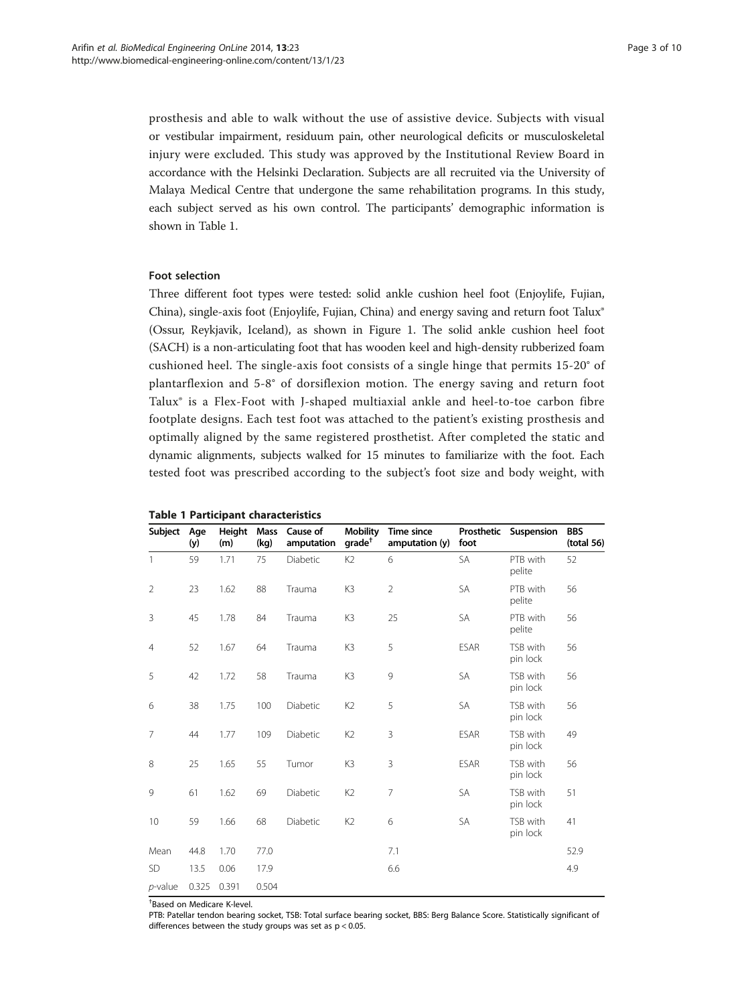<span id="page-2-0"></span>prosthesis and able to walk without the use of assistive device. Subjects with visual or vestibular impairment, residuum pain, other neurological deficits or musculoskeletal injury were excluded. This study was approved by the Institutional Review Board in accordance with the Helsinki Declaration. Subjects are all recruited via the University of Malaya Medical Centre that undergone the same rehabilitation programs. In this study, each subject served as his own control. The participants' demographic information is shown in Table 1.

# Foot selection

Three different foot types were tested: solid ankle cushion heel foot (Enjoylife, Fujian, China), single-axis foot (Enjoylife, Fujian, China) and energy saving and return foot Talux® (Ossur, Reykjavik, Iceland), as shown in Figure [1](#page-3-0). The solid ankle cushion heel foot (SACH) is a non-articulating foot that has wooden keel and high-density rubberized foam cushioned heel. The single-axis foot consists of a single hinge that permits 15-20° of plantarflexion and 5-8° of dorsiflexion motion. The energy saving and return foot Talux® is a Flex-Foot with J-shaped multiaxial ankle and heel-to-toe carbon fibre footplate designs. Each test foot was attached to the patient's existing prosthesis and optimally aligned by the same registered prosthetist. After completed the static and dynamic alignments, subjects walked for 15 minutes to familiarize with the foot. Each tested foot was prescribed according to the subject's foot size and body weight, with

| Subject        | Age<br>(y) | Height<br>(m) | <b>Mass</b><br>(kg) | Cause of<br>amputation | <b>Mobility</b><br>$grade^{\dagger}$ | <b>Time since</b><br>amputation (y) | Prosthetic<br>foot | Suspension           | <b>BBS</b><br>(total 56) |
|----------------|------------|---------------|---------------------|------------------------|--------------------------------------|-------------------------------------|--------------------|----------------------|--------------------------|
| 1              | 59         | 1.71          | 75                  | Diabetic               | K <sub>2</sub>                       | 6                                   | <b>SA</b>          | PTB with<br>pelite   | 52                       |
| $\overline{2}$ | 23         | 1.62          | 88                  | Trauma                 | K3                                   | $\overline{2}$                      | <b>SA</b>          | PTB with<br>pelite   | 56                       |
| 3              | 45         | 1.78          | 84                  | Trauma                 | K3                                   | 25                                  | SA                 | PTB with<br>pelite   | 56                       |
| $\overline{4}$ | 52         | 1.67          | 64                  | Trauma                 | K3                                   | 5                                   | <b>ESAR</b>        | TSB with<br>pin lock | 56                       |
| 5              | 42         | 1.72          | 58                  | Trauma                 | K3                                   | 9                                   | <b>SA</b>          | TSB with<br>pin lock | 56                       |
| 6              | 38         | 1.75          | 100                 | Diabetic               | K <sub>2</sub>                       | 5                                   | SA                 | TSB with<br>pin lock | 56                       |
| $\overline{7}$ | 44         | 1.77          | 109                 | Diabetic               | K <sub>2</sub>                       | 3                                   | <b>ESAR</b>        | TSB with<br>pin lock | 49                       |
| 8              | 25         | 1.65          | 55                  | Tumor                  | K3                                   | 3                                   | <b>ESAR</b>        | TSB with<br>pin lock | 56                       |
| 9              | 61         | 1.62          | 69                  | Diabetic               | K <sub>2</sub>                       | $\overline{7}$                      | <b>SA</b>          | TSB with<br>pin lock | 51                       |
| 10             | 59         | 1.66          | 68                  | Diabetic               | K <sub>2</sub>                       | 6                                   | <b>SA</b>          | TSB with<br>pin lock | 41                       |
| Mean           | 44.8       | 1.70          | 77.0                |                        |                                      | 7.1                                 |                    |                      | 52.9                     |
| <b>SD</b>      | 13.5       | 0.06          | 17.9                |                        |                                      | 6.6                                 |                    |                      | 4.9                      |
| $p$ -value     | 0.325      | 0.391         | 0.504               |                        |                                      |                                     |                    |                      |                          |

|  |  | <b>Table 1 Participant characteristics</b> |
|--|--|--------------------------------------------|
|--|--|--------------------------------------------|

† Based on Medicare K-level.

PTB: Patellar tendon bearing socket, TSB: Total surface bearing socket, BBS: Berg Balance Score. Statistically significant of differences between the study groups was set as  $p < 0.05$ .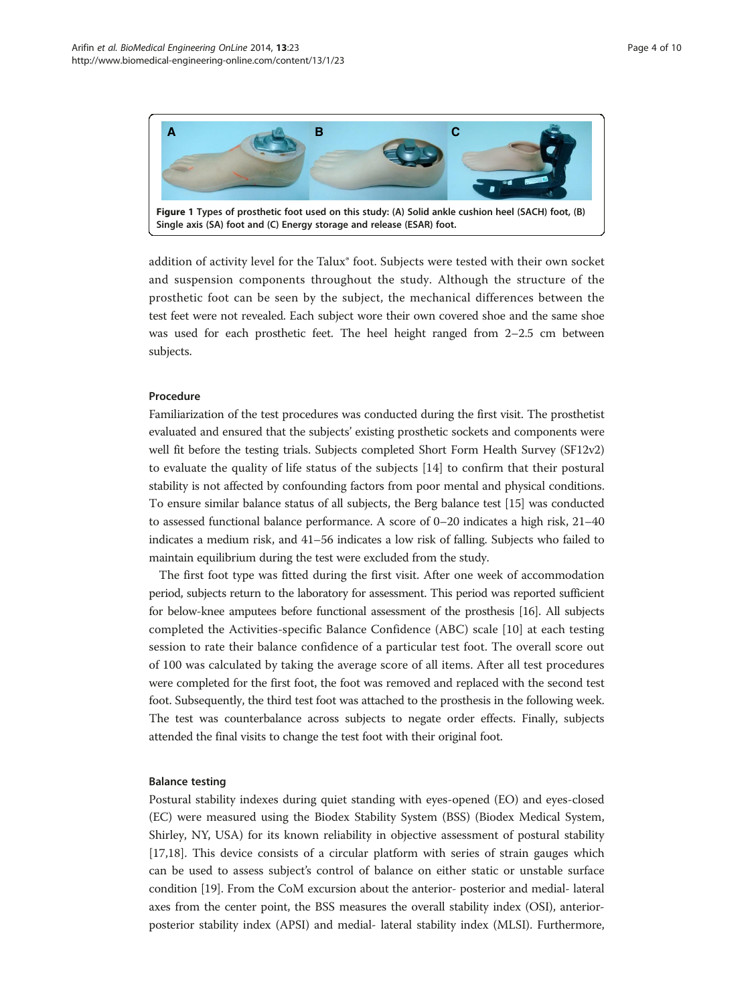<span id="page-3-0"></span>

addition of activity level for the Talux® foot. Subjects were tested with their own socket and suspension components throughout the study. Although the structure of the prosthetic foot can be seen by the subject, the mechanical differences between the test feet were not revealed. Each subject wore their own covered shoe and the same shoe was used for each prosthetic feet. The heel height ranged from 2–2.5 cm between subjects.

### Procedure

Familiarization of the test procedures was conducted during the first visit. The prosthetist evaluated and ensured that the subjects' existing prosthetic sockets and components were well fit before the testing trials. Subjects completed Short Form Health Survey (SF12v2) to evaluate the quality of life status of the subjects [[14\]](#page-9-0) to confirm that their postural stability is not affected by confounding factors from poor mental and physical conditions. To ensure similar balance status of all subjects, the Berg balance test [\[15\]](#page-9-0) was conducted to assessed functional balance performance. A score of 0–20 indicates a high risk, 21–40 indicates a medium risk, and 41–56 indicates a low risk of falling. Subjects who failed to maintain equilibrium during the test were excluded from the study.

The first foot type was fitted during the first visit. After one week of accommodation period, subjects return to the laboratory for assessment. This period was reported sufficient for below-knee amputees before functional assessment of the prosthesis [\[16](#page-9-0)]. All subjects completed the Activities-specific Balance Confidence (ABC) scale [[10](#page-9-0)] at each testing session to rate their balance confidence of a particular test foot. The overall score out of 100 was calculated by taking the average score of all items. After all test procedures were completed for the first foot, the foot was removed and replaced with the second test foot. Subsequently, the third test foot was attached to the prosthesis in the following week. The test was counterbalance across subjects to negate order effects. Finally, subjects attended the final visits to change the test foot with their original foot.

# Balance testing

Postural stability indexes during quiet standing with eyes-opened (EO) and eyes-closed (EC) were measured using the Biodex Stability System (BSS) (Biodex Medical System, Shirley, NY, USA) for its known reliability in objective assessment of postural stability [[17,18\]](#page-9-0). This device consists of a circular platform with series of strain gauges which can be used to assess subject's control of balance on either static or unstable surface condition [[19](#page-9-0)]. From the CoM excursion about the anterior- posterior and medial- lateral axes from the center point, the BSS measures the overall stability index (OSI), anteriorposterior stability index (APSI) and medial- lateral stability index (MLSI). Furthermore,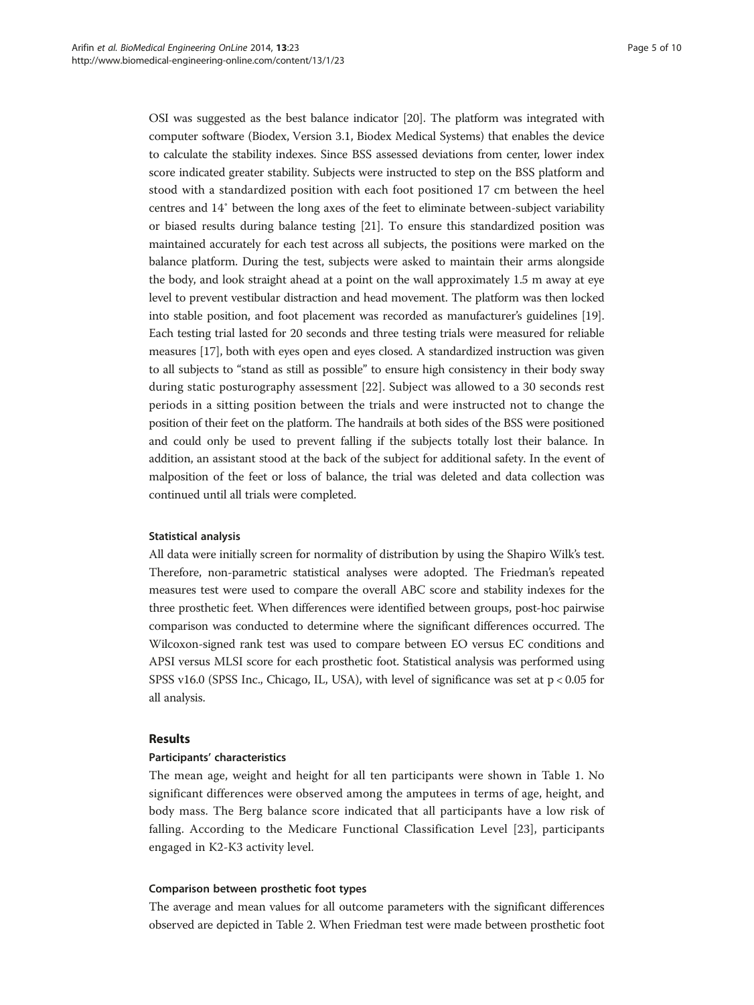OSI was suggested as the best balance indicator [[20](#page-9-0)]. The platform was integrated with computer software (Biodex, Version 3.1, Biodex Medical Systems) that enables the device to calculate the stability indexes. Since BSS assessed deviations from center, lower index score indicated greater stability. Subjects were instructed to step on the BSS platform and stood with a standardized position with each foot positioned 17 cm between the heel centres and 14˚ between the long axes of the feet to eliminate between-subject variability or biased results during balance testing [\[21\]](#page-9-0). To ensure this standardized position was maintained accurately for each test across all subjects, the positions were marked on the balance platform. During the test, subjects were asked to maintain their arms alongside the body, and look straight ahead at a point on the wall approximately 1.5 m away at eye level to prevent vestibular distraction and head movement. The platform was then locked into stable position, and foot placement was recorded as manufacturer's guidelines [[19](#page-9-0)]. Each testing trial lasted for 20 seconds and three testing trials were measured for reliable measures [[17\]](#page-9-0), both with eyes open and eyes closed. A standardized instruction was given to all subjects to "stand as still as possible" to ensure high consistency in their body sway during static posturography assessment [[22\]](#page-9-0). Subject was allowed to a 30 seconds rest periods in a sitting position between the trials and were instructed not to change the position of their feet on the platform. The handrails at both sides of the BSS were positioned and could only be used to prevent falling if the subjects totally lost their balance. In addition, an assistant stood at the back of the subject for additional safety. In the event of malposition of the feet or loss of balance, the trial was deleted and data collection was continued until all trials were completed.

#### Statistical analysis

All data were initially screen for normality of distribution by using the Shapiro Wilk's test. Therefore, non-parametric statistical analyses were adopted. The Friedman's repeated measures test were used to compare the overall ABC score and stability indexes for the three prosthetic feet. When differences were identified between groups, post-hoc pairwise comparison was conducted to determine where the significant differences occurred. The Wilcoxon-signed rank test was used to compare between EO versus EC conditions and APSI versus MLSI score for each prosthetic foot. Statistical analysis was performed using SPSS v16.0 (SPSS Inc., Chicago, IL, USA), with level of significance was set at p < 0.05 for all analysis.

#### Results

# Participants' characteristics

The mean age, weight and height for all ten participants were shown in Table [1](#page-2-0). No significant differences were observed among the amputees in terms of age, height, and body mass. The Berg balance score indicated that all participants have a low risk of falling. According to the Medicare Functional Classification Level [[23\]](#page-9-0), participants engaged in K2-K3 activity level.

#### Comparison between prosthetic foot types

The average and mean values for all outcome parameters with the significant differences observed are depicted in Table [2](#page-5-0). When Friedman test were made between prosthetic foot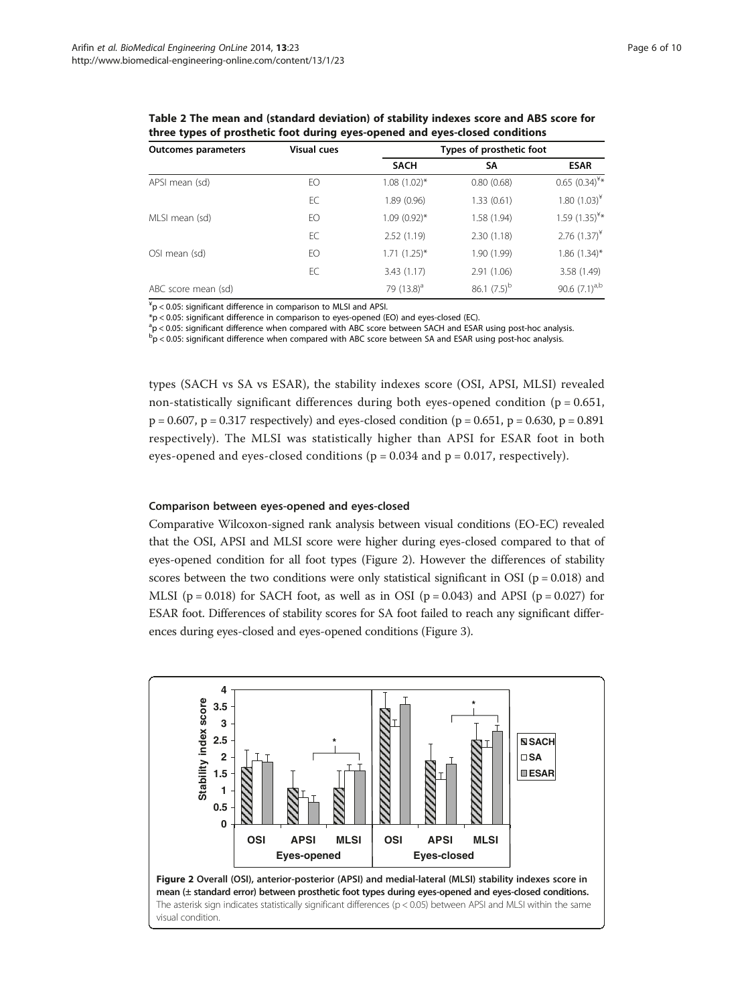<span id="page-5-0"></span>Table 2 The mean and (standard deviation) of stability indexes score and ABS score for three types of prosthetic foot during eyes-opened and eyes-closed conditions

| <b>Outcomes parameters</b> | <b>Visual cues</b> | Types of prosthetic foot |                  |                    |  |
|----------------------------|--------------------|--------------------------|------------------|--------------------|--|
|                            |                    | <b>SACH</b>              | SΑ               | <b>ESAR</b>        |  |
| APSI mean (sd)             | EO                 | $1.08(1.02)$ *           | 0.80(0.68)       | 0.65 $(0.34)^{4*}$ |  |
|                            | EC                 | 1.89(0.96)               | 1.33(0.61)       | 1.80 $(1.03)^{4}$  |  |
| MLSI mean (sd)             | EO                 | $1.09(0.92)$ *           | 1.58 (1.94)      | 1.59 $(1.35)^{4*}$ |  |
|                            | EC                 | 2.52(1.19)               | 2.30(1.18)       | 2.76 $(1.37)^{*}$  |  |
| OSI mean (sd)              | EO                 | $1.71(1.25)^*$           | 1.90 (1.99)      | $1.86$ (1.34)*     |  |
|                            | EC                 | 3.43(1.17)               | 2.91(1.06)       | 3.58 (1.49)        |  |
| ABC score mean (sd)        |                    | 79 (13.8) <sup>a</sup>   | 86.1 $(7.5)^{b}$ | 90.6 $(7.1)^{a,b}$ |  |

 $A^4$ p < 0.05: significant difference in comparison to MLSI and APSI.

\*p < 0.05: significant difference in comparison to eyes-opened (EO) and eyes-closed (EC).

<sup>a</sup>p < 0.05: significant difference when compared with ABC score between SACH and ESAR using post-hoc analysis.

 $\rm{^{b}}p$  < 0.05: significant difference when compared with ABC score between SA and ESAR using post-hoc analysis.

types (SACH vs SA vs ESAR), the stability indexes score (OSI, APSI, MLSI) revealed non-statistically significant differences during both eyes-opened condition ( $p = 0.651$ ,  $p = 0.607$ ,  $p = 0.317$  respectively) and eyes-closed condition ( $p = 0.651$ ,  $p = 0.630$ ,  $p = 0.891$ respectively). The MLSI was statistically higher than APSI for ESAR foot in both eyes-opened and eyes-closed conditions ( $p = 0.034$  and  $p = 0.017$ , respectively).

# Comparison between eyes-opened and eyes-closed

Comparative Wilcoxon-signed rank analysis between visual conditions (EO-EC) revealed that the OSI, APSI and MLSI score were higher during eyes-closed compared to that of eyes-opened condition for all foot types (Figure 2). However the differences of stability scores between the two conditions were only statistical significant in OSI ( $p = 0.018$ ) and MLSI ( $p = 0.018$ ) for SACH foot, as well as in OSI ( $p = 0.043$ ) and APSI ( $p = 0.027$ ) for ESAR foot. Differences of stability scores for SA foot failed to reach any significant differences during eyes-closed and eyes-opened conditions (Figure [3\)](#page-6-0).

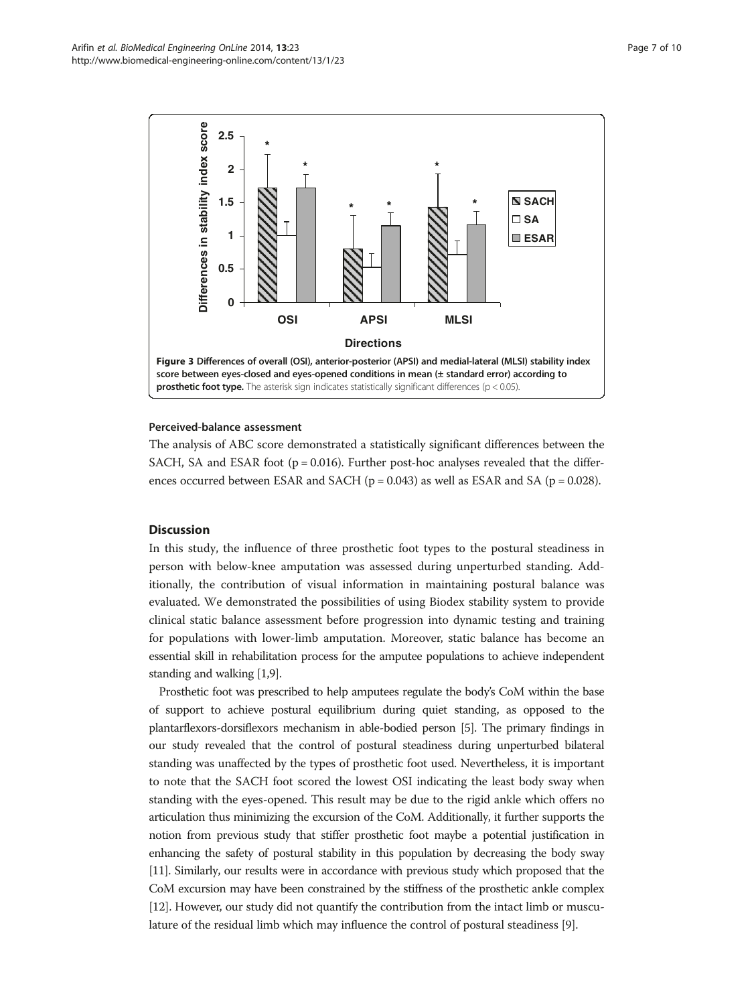<span id="page-6-0"></span>

#### Perceived-balance assessment

The analysis of ABC score demonstrated a statistically significant differences between the SACH, SA and ESAR foot ( $p = 0.016$ ). Further post-hoc analyses revealed that the differences occurred between ESAR and SACH ( $p = 0.043$ ) as well as ESAR and SA ( $p = 0.028$ ).

# **Discussion**

In this study, the influence of three prosthetic foot types to the postural steadiness in person with below-knee amputation was assessed during unperturbed standing. Additionally, the contribution of visual information in maintaining postural balance was evaluated. We demonstrated the possibilities of using Biodex stability system to provide clinical static balance assessment before progression into dynamic testing and training for populations with lower-limb amputation. Moreover, static balance has become an essential skill in rehabilitation process for the amputee populations to achieve independent standing and walking [\[1,](#page-8-0)[9\]](#page-9-0).

Prosthetic foot was prescribed to help amputees regulate the body's CoM within the base of support to achieve postural equilibrium during quiet standing, as opposed to the plantarflexors-dorsiflexors mechanism in able-bodied person [\[5\]](#page-8-0). The primary findings in our study revealed that the control of postural steadiness during unperturbed bilateral standing was unaffected by the types of prosthetic foot used. Nevertheless, it is important to note that the SACH foot scored the lowest OSI indicating the least body sway when standing with the eyes-opened. This result may be due to the rigid ankle which offers no articulation thus minimizing the excursion of the CoM. Additionally, it further supports the notion from previous study that stiffer prosthetic foot maybe a potential justification in enhancing the safety of postural stability in this population by decreasing the body sway [[11](#page-9-0)]. Similarly, our results were in accordance with previous study which proposed that the CoM excursion may have been constrained by the stiffness of the prosthetic ankle complex [[12](#page-9-0)]. However, our study did not quantify the contribution from the intact limb or musculature of the residual limb which may influence the control of postural steadiness [[9\]](#page-9-0).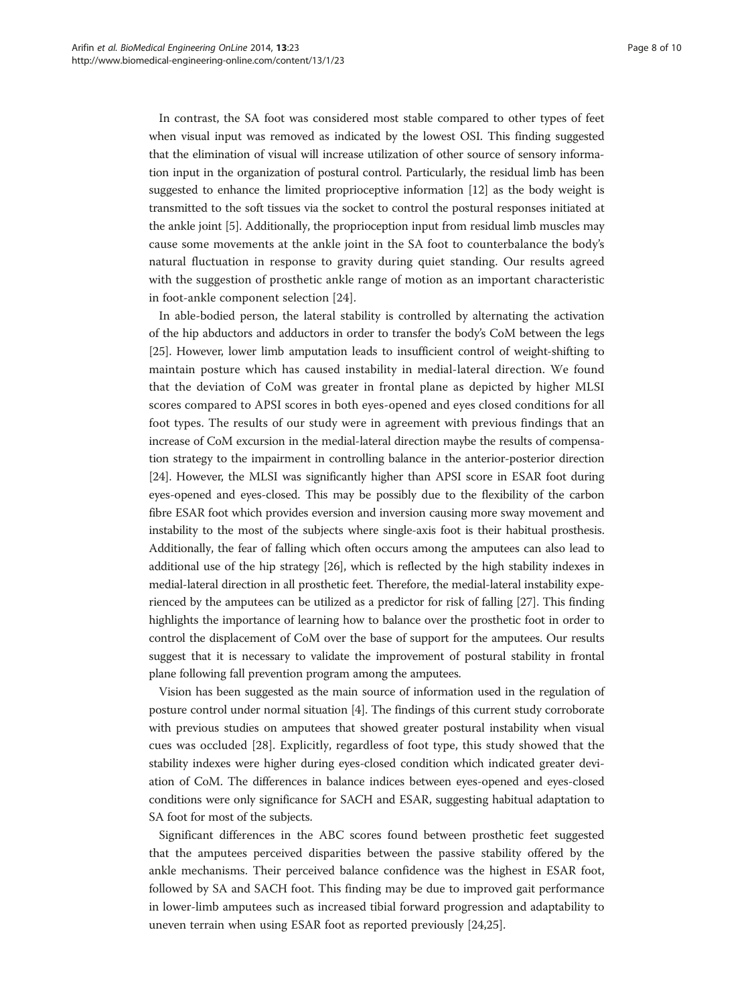In contrast, the SA foot was considered most stable compared to other types of feet when visual input was removed as indicated by the lowest OSI. This finding suggested that the elimination of visual will increase utilization of other source of sensory information input in the organization of postural control. Particularly, the residual limb has been suggested to enhance the limited proprioceptive information [\[12\]](#page-9-0) as the body weight is transmitted to the soft tissues via the socket to control the postural responses initiated at the ankle joint [\[5\]](#page-8-0). Additionally, the proprioception input from residual limb muscles may cause some movements at the ankle joint in the SA foot to counterbalance the body's natural fluctuation in response to gravity during quiet standing. Our results agreed with the suggestion of prosthetic ankle range of motion as an important characteristic in foot-ankle component selection [[24](#page-9-0)].

In able-bodied person, the lateral stability is controlled by alternating the activation of the hip abductors and adductors in order to transfer the body's CoM between the legs [[25](#page-9-0)]. However, lower limb amputation leads to insufficient control of weight-shifting to maintain posture which has caused instability in medial-lateral direction. We found that the deviation of CoM was greater in frontal plane as depicted by higher MLSI scores compared to APSI scores in both eyes-opened and eyes closed conditions for all foot types. The results of our study were in agreement with previous findings that an increase of CoM excursion in the medial-lateral direction maybe the results of compensation strategy to the impairment in controlling balance in the anterior-posterior direction [[24](#page-9-0)]. However, the MLSI was significantly higher than APSI score in ESAR foot during eyes-opened and eyes-closed. This may be possibly due to the flexibility of the carbon fibre ESAR foot which provides eversion and inversion causing more sway movement and instability to the most of the subjects where single-axis foot is their habitual prosthesis. Additionally, the fear of falling which often occurs among the amputees can also lead to additional use of the hip strategy [[26](#page-9-0)], which is reflected by the high stability indexes in medial-lateral direction in all prosthetic feet. Therefore, the medial-lateral instability experienced by the amputees can be utilized as a predictor for risk of falling [\[27\]](#page-9-0). This finding highlights the importance of learning how to balance over the prosthetic foot in order to control the displacement of CoM over the base of support for the amputees. Our results suggest that it is necessary to validate the improvement of postural stability in frontal plane following fall prevention program among the amputees.

Vision has been suggested as the main source of information used in the regulation of posture control under normal situation [[4](#page-8-0)]. The findings of this current study corroborate with previous studies on amputees that showed greater postural instability when visual cues was occluded [\[28](#page-9-0)]. Explicitly, regardless of foot type, this study showed that the stability indexes were higher during eyes-closed condition which indicated greater deviation of CoM. The differences in balance indices between eyes-opened and eyes-closed conditions were only significance for SACH and ESAR, suggesting habitual adaptation to SA foot for most of the subjects.

Significant differences in the ABC scores found between prosthetic feet suggested that the amputees perceived disparities between the passive stability offered by the ankle mechanisms. Their perceived balance confidence was the highest in ESAR foot, followed by SA and SACH foot. This finding may be due to improved gait performance in lower-limb amputees such as increased tibial forward progression and adaptability to uneven terrain when using ESAR foot as reported previously [[24,25](#page-9-0)].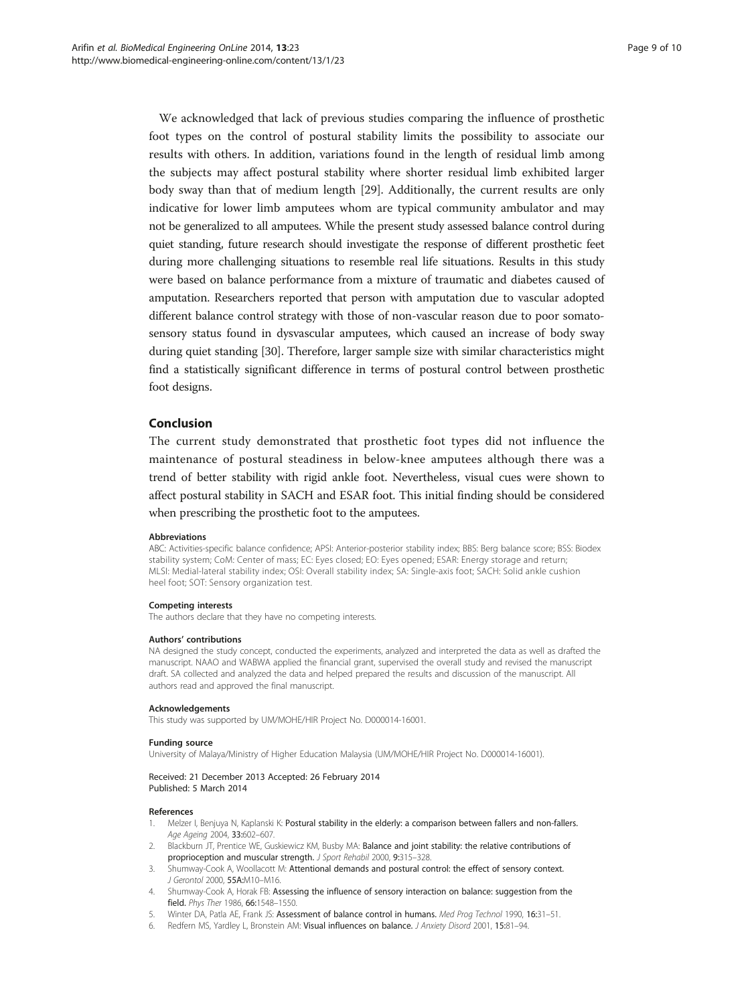<span id="page-8-0"></span>We acknowledged that lack of previous studies comparing the influence of prosthetic foot types on the control of postural stability limits the possibility to associate our results with others. In addition, variations found in the length of residual limb among the subjects may affect postural stability where shorter residual limb exhibited larger body sway than that of medium length [[29\]](#page-9-0). Additionally, the current results are only indicative for lower limb amputees whom are typical community ambulator and may not be generalized to all amputees. While the present study assessed balance control during quiet standing, future research should investigate the response of different prosthetic feet during more challenging situations to resemble real life situations. Results in this study were based on balance performance from a mixture of traumatic and diabetes caused of amputation. Researchers reported that person with amputation due to vascular adopted different balance control strategy with those of non-vascular reason due to poor somatosensory status found in dysvascular amputees, which caused an increase of body sway during quiet standing [\[30](#page-9-0)]. Therefore, larger sample size with similar characteristics might find a statistically significant difference in terms of postural control between prosthetic foot designs.

#### Conclusion

The current study demonstrated that prosthetic foot types did not influence the maintenance of postural steadiness in below-knee amputees although there was a trend of better stability with rigid ankle foot. Nevertheless, visual cues were shown to affect postural stability in SACH and ESAR foot. This initial finding should be considered when prescribing the prosthetic foot to the amputees.

#### Abbreviations

ABC: Activities-specific balance confidence; APSI: Anterior-posterior stability index; BBS: Berg balance score; BSS: Biodex stability system; CoM: Center of mass; EC: Eyes closed; EO: Eyes opened; ESAR: Energy storage and return; MLSI: Medial-lateral stability index; OSI: Overall stability index; SA: Single-axis foot; SACH: Solid ankle cushion heel foot; SOT: Sensory organization test.

#### Competing interests

The authors declare that they have no competing interests.

#### Authors' contributions

NA designed the study concept, conducted the experiments, analyzed and interpreted the data as well as drafted the manuscript. NAAO and WABWA applied the financial grant, supervised the overall study and revised the manuscript draft. SA collected and analyzed the data and helped prepared the results and discussion of the manuscript. All authors read and approved the final manuscript.

#### Acknowledgements

This study was supported by UM/MOHE/HIR Project No. D000014-16001.

#### Funding source

University of Malaya/Ministry of Higher Education Malaysia (UM/MOHE/HIR Project No. D000014-16001).

#### Received: 21 December 2013 Accepted: 26 February 2014 Published: 5 March 2014

#### References

- 1. Melzer I, Benjuya N, Kaplanski K: Postural stability in the elderly: a comparison between fallers and non-fallers. Age Ageing 2004, 33:602–607.
- 2. Blackburn JT, Prentice WE, Guskiewicz KM, Busby MA: Balance and joint stability: the relative contributions of proprioception and muscular strength. J Sport Rehabil 2000, 9:315-328.
- 3. Shumway-Cook A, Woollacott M: Attentional demands and postural control: the effect of sensory context. J Gerontol 2000, 55A:M10–M16.
- 4. Shumway-Cook A, Horak FB: Assessing the influence of sensory interaction on balance: suggestion from the field. Phys Ther 1986, 66:1548–1550.
- 5. Winter DA, Patla AE, Frank JS: Assessment of balance control in humans. Med Prog Technol 1990, 16:31–51.
- 6. Redfern MS, Yardley L, Bronstein AM: Visual influences on balance. J Anxiety Disord 2001, 15:81–94.